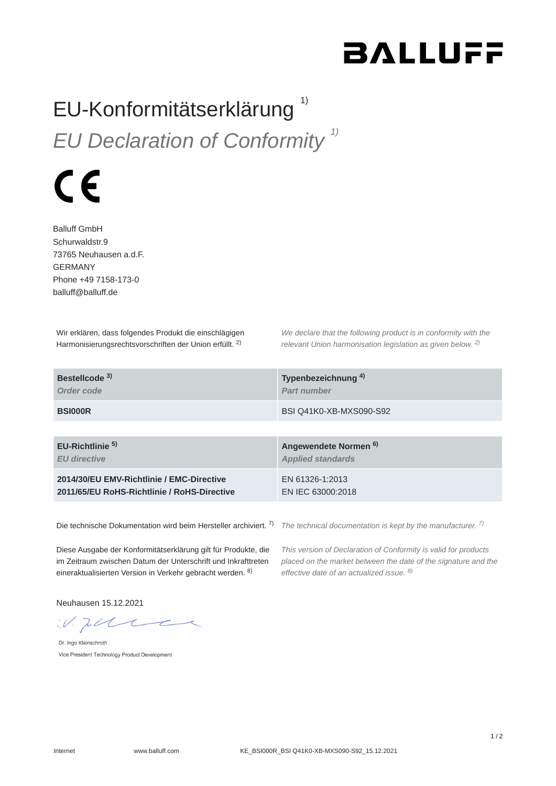## **BALLUFF**

## EU-Konformitätserklärung *EU Declaration of Conformity 1)* 1)



Balluff GmbH Schurwaldstr.9 73765 Neuhausen a.d.F. GERMANY Phone +49 7158-173-0 balluff@balluff.de

Wir erklären, dass folgendes Produkt die einschlägigen Harmonisierungsrechtsvorschriften der Union erfüllt. <sup>2)</sup>

*We declare that the following product is in conformity with the relevant Union harmonisation legislation as given below.* 2) *2)*

| Bestellcode <sup>3)</sup>                   | Typenbezeichnung <sup>4)</sup>   |
|---------------------------------------------|----------------------------------|
| Order code                                  | <b>Part number</b>               |
| <b>BSI000R</b>                              | BSI Q41K0-XB-MXS090-S92          |
|                                             |                                  |
| EU-Richtlinie <sup>5)</sup>                 | Angewendete Normen <sup>6)</sup> |
| <b>EU directive</b>                         | <b>Applied standards</b>         |
| 2014/30/EU EMV-Richtlinie / EMC-Directive   | EN 61326-1:2013                  |
| 2011/65/EU RoHS-Richtlinie / RoHS-Directive | EN IEC 63000:2018                |

Die technische Dokumentation wird beim Hersteller archiviert. 7)

*The technical documentation is kept by the manufacturer. 7)*

Diese Ausgabe der Konformitätserklärung gilt für Produkte, die im Zeitraum zwischen Datum der Unterschrift und Inkrafttreten eineraktualisierten Version in Verkehr gebracht werden. <sup>8)</sup>

*This version of Declaration of Conformity is valid for products placed on the market between the date of the signature and the effective date of an actualized issue. 8)*

Neuhausen 15.12.2021

 $W.$  put

Dr. Ingo Kleinschroth Vice President Technology Product Development